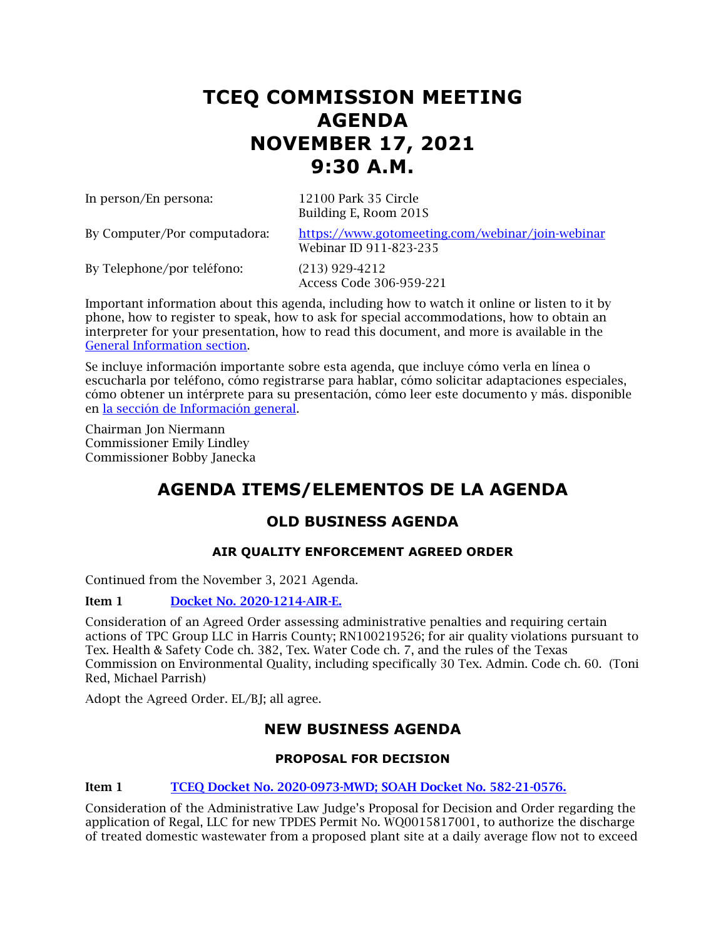# **TCEQ COMMISSION MEETING AGENDA NOVEMBER 17, 2021 9:30 A.M.**

In person/En persona: 12100 Park 35 Circle

Building E, Room 201S

By Computer/Por computadora: <https://www.gotomeeting.com/webinar/join-webinar> Webinar ID 911-823-235

By Telephone/por teléfono: (213) 929-4212

Access Code 306-959-221

Important information about this agenda, including how to watch it online or listen to it by phone, how to register to speak, how to ask for special accommodations, how to obtain an interpreter for your presentation, how to read this document, and more is available in the [General Information section.](#page-9-0)

Se incluye información importante sobre esta agenda, que incluye cómo verla en línea o escucharla por teléfono, cómo registrarse para hablar, cómo solicitar adaptaciones especiales, cómo obtener un intérprete para su presentación, cómo leer este documento y más. disponible en [la sección de Información general.](#page-9-0)

Chairman Jon Niermann Commissioner Emily Lindley Commissioner Bobby Janecka

## **AGENDA ITEMS/ELEMENTOS DE LA AGENDA**

## **OLD BUSINESS AGENDA**

## **AIR QUALITY ENFORCEMENT AGREED ORDER**

Continued from the November 3, 2021 Agenda.

## Item 1 [Docket No. 2020-1214-AIR-E.](http://www.tceq.texas.gov/assets/public/comm_exec/agendas/comm/backup/Agendas/2021/11-03-2021/1214AIR.pdf)

Consideration of an Agreed Order assessing administrative penalties and requiring certain actions of TPC Group LLC in Harris County; RN100219526; for air quality violations pursuant to Tex. Health & Safety Code ch. 382, Tex. Water Code ch. 7, and the rules of the Texas Commission on Environmental Quality, including specifically 30 Tex. Admin. Code ch. 60. (Toni Red, Michael Parrish)

Adopt the Agreed Order. EL/BJ; all agree.

## **NEW BUSINESS AGENDA**

## **PROPOSAL FOR DECISION**

## Item 1 [TCEQ Docket No. 2020-0973-MWD; SOAH Docket No. 582-21-0576.](http://www.tceq.texas.gov/assets/public/comm_exec/agendas/comm/backup/Agendas/2021/11-17-2021/regal.pdf)

Consideration of the Administrative Law Judge's Proposal for Decision and Order regarding the application of Regal, LLC for new TPDES Permit No. WQ0015817001, to authorize the discharge of treated domestic wastewater from a proposed plant site at a daily average flow not to exceed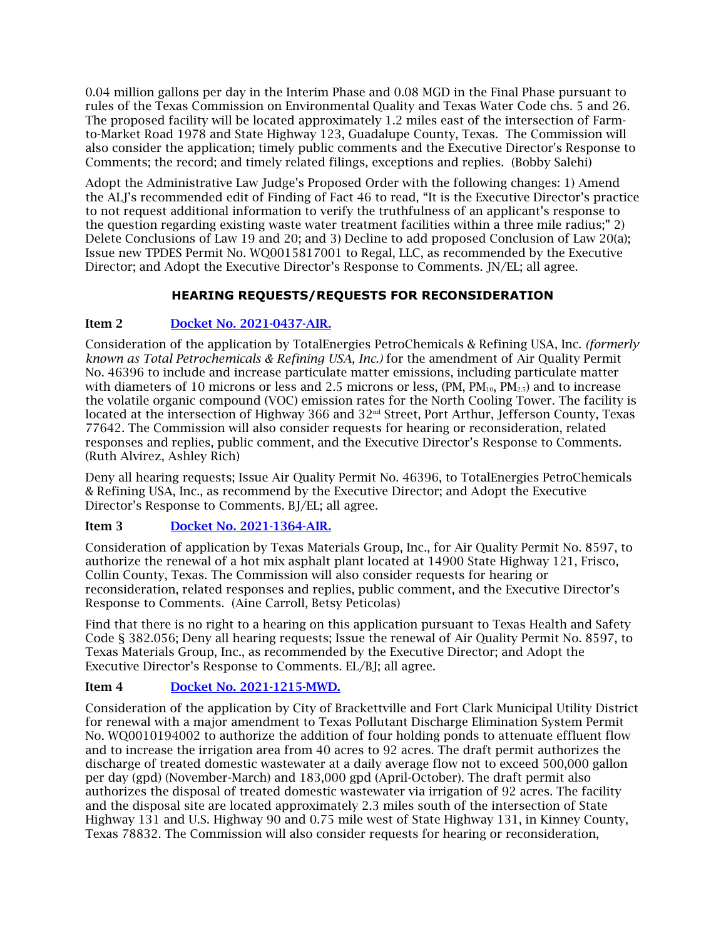0.04 million gallons per day in the Interim Phase and 0.08 MGD in the Final Phase pursuant to rules of the Texas Commission on Environmental Quality and Texas Water Code chs. 5 and 26. The proposed facility will be located approximately 1.2 miles east of the intersection of Farmto-Market Road 1978 and State Highway 123, Guadalupe County, Texas. The Commission will also consider the application; timely public comments and the Executive Director's Response to Comments; the record; and timely related filings, exceptions and replies. (Bobby Salehi)

Adopt the Administrative Law Judge's Proposed Order with the following changes: 1) Amend the ALJ's recommended edit of Finding of Fact 46 to read, "It is the Executive Director's practice to not request additional information to verify the truthfulness of an applicant's response to the question regarding existing waste water treatment facilities within a three mile radius;" 2) Delete Conclusions of Law 19 and 20; and 3) Decline to add proposed Conclusion of Law 20(a); Issue new TPDES Permit No. WQ0015817001 to Regal, LLC, as recommended by the Executive Director; and Adopt the Executive Director's Response to Comments. JN/EL; all agree.

## **HEARING REQUESTS/REQUESTS FOR RECONSIDERATION**

## Item 2 [Docket No. 2021-0437-AIR.](http://www.tceq.texas.gov/assets/public/comm_exec/agendas/comm/backup/Agendas/2021/11-17-2021/total.pdf)

Consideration of the application by TotalEnergies PetroChemicals & Refining USA, Inc. *(formerly known as Total Petrochemicals & Refining USA, Inc.)* for the amendment of Air Quality Permit No. 46396 to include and increase particulate matter emissions, including particulate matter with diameters of 10 microns or less and 2.5 microns or less,  $(PM, PM_{10}, PM_{2.5})$  and to increase the volatile organic compound (VOC) emission rates for the North Cooling Tower. The facility is located at the intersection of Highway 366 and 32<sup>nd</sup> Street, Port Arthur, Jefferson County, Texas 77642. The Commission will also consider requests for hearing or reconsideration, related responses and replies, public comment, and the Executive Director's Response to Comments. (Ruth Alvirez, Ashley Rich)

Deny all hearing requests; Issue Air Quality Permit No. 46396, to TotalEnergies PetroChemicals & Refining USA, Inc., as recommend by the Executive Director; and Adopt the Executive Director's Response to Comments. BJ/EL; all agree.

## Item 3 [Docket No. 2021-1364-AIR.](http://www.tceq.texas.gov/assets/public/comm_exec/agendas/comm/backup/Agendas/2021/11-17-2021/texasmaterials.pdf)

Consideration of application by Texas Materials Group, Inc., for Air Quality Permit No. 8597, to authorize the renewal of a hot mix asphalt plant located at 14900 State Highway 121, Frisco, Collin County, Texas. The Commission will also consider requests for hearing or reconsideration, related responses and replies, public comment, and the Executive Director's Response to Comments. (Aine Carroll, Betsy Peticolas)

Find that there is no right to a hearing on this application pursuant to Texas Health and Safety Code § 382.056; Deny all hearing requests; Issue the renewal of Air Quality Permit No. 8597, to Texas Materials Group, Inc., as recommended by the Executive Director; and Adopt the Executive Director's Response to Comments. EL/BJ; all agree.

## Item 4 [Docket No. 2021-1215-MWD.](http://www.tceq.texas.gov/assets/public/comm_exec/agendas/comm/backup/Agendas/2021/11-17-2021/clark.pdf)

Consideration of the application by City of Brackettville and Fort Clark Municipal Utility District for renewal with a major amendment to Texas Pollutant Discharge Elimination System Permit No. WQ0010194002 to authorize the addition of four holding ponds to attenuate effluent flow and to increase the irrigation area from 40 acres to 92 acres. The draft permit authorizes the discharge of treated domestic wastewater at a daily average flow not to exceed 500,000 gallon per day (gpd) (November-March) and 183,000 gpd (April-October). The draft permit also authorizes the disposal of treated domestic wastewater via irrigation of 92 acres. The facility and the disposal site are located approximately 2.3 miles south of the intersection of State Highway 131 and U.S. Highway 90 and 0.75 mile west of State Highway 131, in Kinney County, Texas 78832. The Commission will also consider requests for hearing or reconsideration,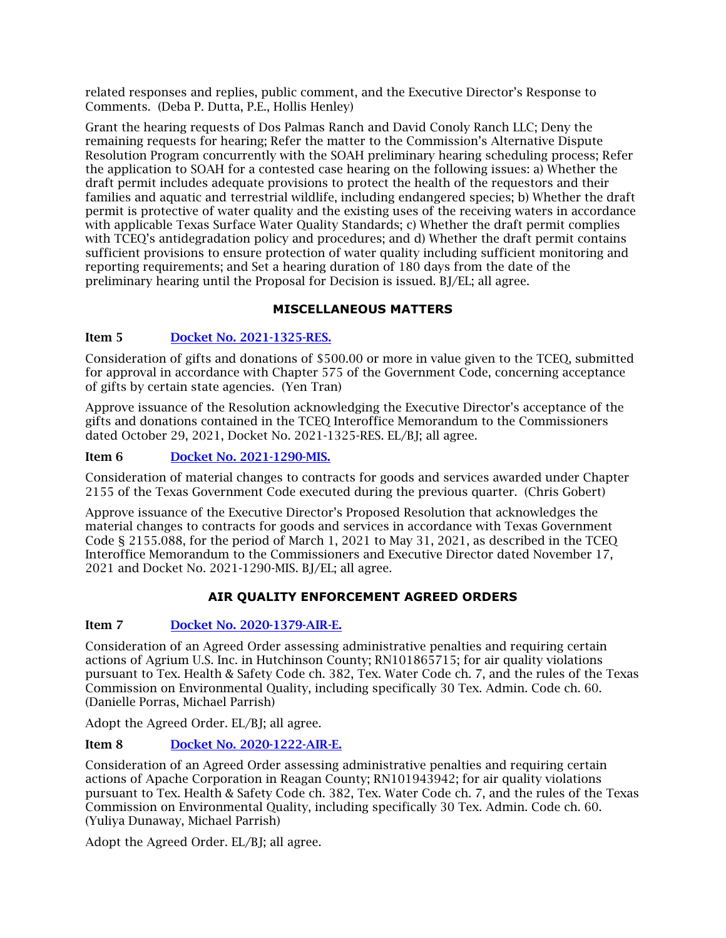related responses and replies, public comment, and the Executive Director's Response to Comments. (Deba P. Dutta, P.E., Hollis Henley)

Grant the hearing requests of Dos Palmas Ranch and David Conoly Ranch LLC; Deny the remaining requests for hearing; Refer the matter to the Commission's Alternative Dispute Resolution Program concurrently with the SOAH preliminary hearing scheduling process; Refer the application to SOAH for a contested case hearing on the following issues: a) Whether the draft permit includes adequate provisions to protect the health of the requestors and their families and aquatic and terrestrial wildlife, including endangered species; b) Whether the draft permit is protective of water quality and the existing uses of the receiving waters in accordance with applicable Texas Surface Water Quality Standards; c) Whether the draft permit complies with TCEQ's antidegradation policy and procedures; and d) Whether the draft permit contains sufficient provisions to ensure protection of water quality including sufficient monitoring and reporting requirements; and Set a hearing duration of 180 days from the date of the preliminary hearing until the Proposal for Decision is issued. BJ/EL; all agree.

## **MISCELLANEOUS MATTERS**

#### Item 5 [Docket No. 2021-1325-RES.](http://www.tceq.texas.gov/assets/public/comm_exec/agendas/comm/backup/Agendas/2021/11-17-2021/1325RES.pdf)

Consideration of gifts and donations of \$500.00 or more in value given to the TCEQ, submitted for approval in accordance with Chapter 575 of the Government Code, concerning acceptance of gifts by certain state agencies. (Yen Tran)

Approve issuance of the Resolution acknowledging the Executive Director's acceptance of the gifts and donations contained in the TCEQ Interoffice Memorandum to the Commissioners dated October 29, 2021, Docket No. 2021-1325-RES. EL/BJ; all agree.

#### Item 6 [Docket No. 2021-1290-MIS.](http://www.tceq.texas.gov/assets/public/comm_exec/agendas/comm/backup/Agendas/2021/11-17-2021/1290MIS.pdf)

Consideration of material changes to contracts for goods and services awarded under Chapter 2155 of the Texas Government Code executed during the previous quarter. (Chris Gobert)

Approve issuance of the Executive Director's Proposed Resolution that acknowledges the material changes to contracts for goods and services in accordance with Texas Government Code § 2155.088, for the period of March 1, 2021 to May 31, 2021, as described in the TCEQ Interoffice Memorandum to the Commissioners and Executive Director dated November 17, 2021 and Docket No. 2021-1290-MIS. BJ/EL; all agree.

## **AIR QUALITY ENFORCEMENT AGREED ORDERS**

#### Item 7 [Docket No. 2020-1379-AIR-E.](http://www.tceq.texas.gov/assets/public/comm_exec/agendas/comm/backup/Agendas/2021/11-17-2021/1379AIR.pdf)

Consideration of an Agreed Order assessing administrative penalties and requiring certain actions of Agrium U.S. Inc. in Hutchinson County; RN101865715; for air quality violations pursuant to Tex. Health & Safety Code ch. 382, Tex. Water Code ch. 7, and the rules of the Texas Commission on Environmental Quality, including specifically 30 Tex. Admin. Code ch. 60. (Danielle Porras, Michael Parrish)

Adopt the Agreed Order. EL/BJ; all agree.

#### Item 8 [Docket No. 2020-1222-AIR-E.](http://www.tceq.texas.gov/assets/public/comm_exec/agendas/comm/backup/Agendas/2021/11-17-2021/1222AIR.pdf)

Consideration of an Agreed Order assessing administrative penalties and requiring certain actions of Apache Corporation in Reagan County; RN101943942; for air quality violations pursuant to Tex. Health & Safety Code ch. 382, Tex. Water Code ch. 7, and the rules of the Texas Commission on Environmental Quality, including specifically 30 Tex. Admin. Code ch. 60. (Yuliya Dunaway, Michael Parrish)

Adopt the Agreed Order. EL/BJ; all agree.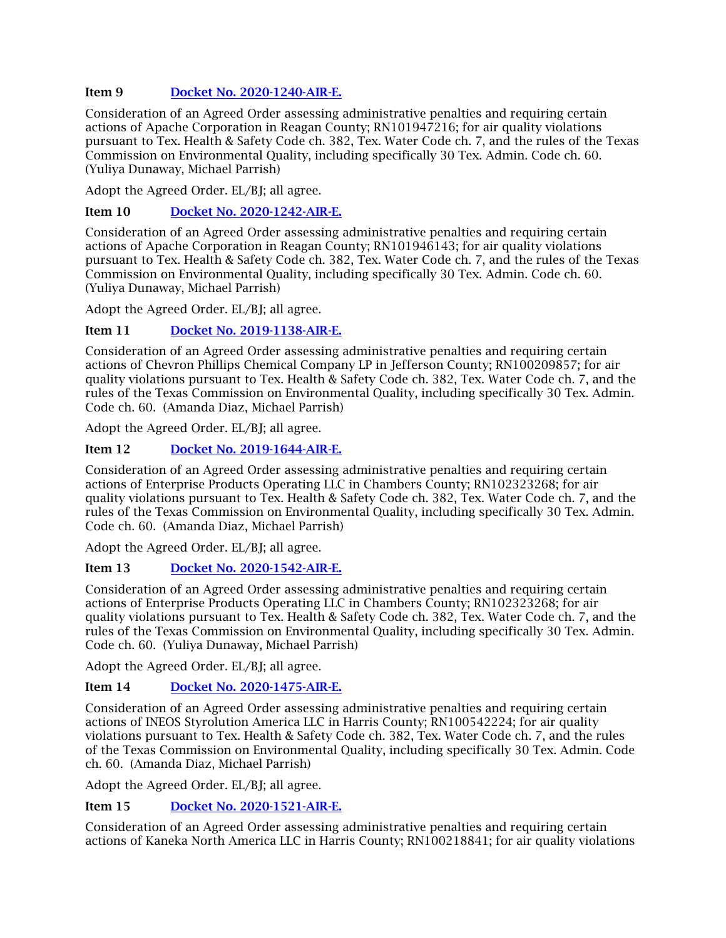## Item 9 [Docket No. 2020-1240-AIR-E.](http://www.tceq.texas.gov/assets/public/comm_exec/agendas/comm/backup/Agendas/2021/11-17-2021/1240AIR.pdf)

Consideration of an Agreed Order assessing administrative penalties and requiring certain actions of Apache Corporation in Reagan County; RN101947216; for air quality violations pursuant to Tex. Health & Safety Code ch. 382, Tex. Water Code ch. 7, and the rules of the Texas Commission on Environmental Quality, including specifically 30 Tex. Admin. Code ch. 60. (Yuliya Dunaway, Michael Parrish)

Adopt the Agreed Order. EL/BJ; all agree.

Item 10 [Docket No. 2020-1242-AIR-E.](http://www.tceq.texas.gov/assets/public/comm_exec/agendas/comm/backup/Agendas/2021/11-17-2021/1242AIR.pdf)

Consideration of an Agreed Order assessing administrative penalties and requiring certain actions of Apache Corporation in Reagan County; RN101946143; for air quality violations pursuant to Tex. Health & Safety Code ch. 382, Tex. Water Code ch. 7, and the rules of the Texas Commission on Environmental Quality, including specifically 30 Tex. Admin. Code ch. 60. (Yuliya Dunaway, Michael Parrish)

Adopt the Agreed Order. EL/BJ; all agree.

## Item 11 [Docket No. 2019-1138-AIR-E.](http://www.tceq.texas.gov/assets/public/comm_exec/agendas/comm/backup/Agendas/2021/11-17-2021/1138AIR.pdf)

Consideration of an Agreed Order assessing administrative penalties and requiring certain actions of Chevron Phillips Chemical Company LP in Jefferson County; RN100209857; for air quality violations pursuant to Tex. Health & Safety Code ch. 382, Tex. Water Code ch. 7, and the rules of the Texas Commission on Environmental Quality, including specifically 30 Tex. Admin. Code ch. 60. (Amanda Diaz, Michael Parrish)

Adopt the Agreed Order. EL/BJ; all agree.

## Item 12 [Docket No. 2019-1644-AIR-E.](http://www.tceq.texas.gov/assets/public/comm_exec/agendas/comm/backup/Agendas/2021/11-17-2021/1644AIR.pdf)

Consideration of an Agreed Order assessing administrative penalties and requiring certain actions of Enterprise Products Operating LLC in Chambers County; RN102323268; for air quality violations pursuant to Tex. Health & Safety Code ch. 382, Tex. Water Code ch. 7, and the rules of the Texas Commission on Environmental Quality, including specifically 30 Tex. Admin. Code ch. 60. (Amanda Diaz, Michael Parrish)

Adopt the Agreed Order. EL/BJ; all agree.

## Item 13 [Docket No. 2020-1542-AIR-E.](http://www.tceq.texas.gov/assets/public/comm_exec/agendas/comm/backup/Agendas/2021/11-17-2021/1542AIR.pdf)

Consideration of an Agreed Order assessing administrative penalties and requiring certain actions of Enterprise Products Operating LLC in Chambers County; RN102323268; for air quality violations pursuant to Tex. Health & Safety Code ch. 382, Tex. Water Code ch. 7, and the rules of the Texas Commission on Environmental Quality, including specifically 30 Tex. Admin. Code ch. 60. (Yuliya Dunaway, Michael Parrish)

Adopt the Agreed Order. EL/BJ; all agree.

## Item 14 [Docket No. 2020-1475-AIR-E.](http://www.tceq.texas.gov/assets/public/comm_exec/agendas/comm/backup/Agendas/2021/11-17-2021/1475AIR.pdf)

Consideration of an Agreed Order assessing administrative penalties and requiring certain actions of INEOS Styrolution America LLC in Harris County; RN100542224; for air quality violations pursuant to Tex. Health & Safety Code ch. 382, Tex. Water Code ch. 7, and the rules of the Texas Commission on Environmental Quality, including specifically 30 Tex. Admin. Code ch. 60. (Amanda Diaz, Michael Parrish)

Adopt the Agreed Order. EL/BJ; all agree.

Item 15 [Docket No. 2020-1521-AIR-E.](http://www.tceq.texas.gov/assets/public/comm_exec/agendas/comm/backup/Agendas/2021/11-17-2021/1521AIR.pdf)

Consideration of an Agreed Order assessing administrative penalties and requiring certain actions of Kaneka North America LLC in Harris County; RN100218841; for air quality violations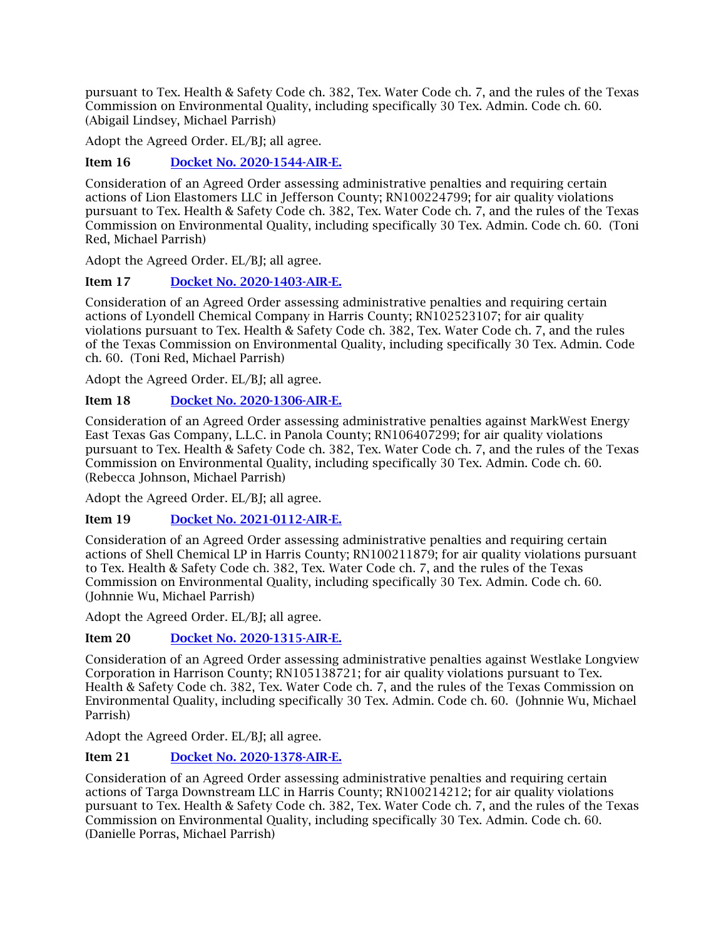pursuant to Tex. Health & Safety Code ch. 382, Tex. Water Code ch. 7, and the rules of the Texas Commission on Environmental Quality, including specifically 30 Tex. Admin. Code ch. 60. (Abigail Lindsey, Michael Parrish)

Adopt the Agreed Order. EL/BJ; all agree.

## Item 16 [Docket No. 2020-1544-AIR-E.](http://www.tceq.texas.gov/assets/public/comm_exec/agendas/comm/backup/Agendas/2021/11-17-2021/1544AIR.pdf)

Consideration of an Agreed Order assessing administrative penalties and requiring certain actions of Lion Elastomers LLC in Jefferson County; RN100224799; for air quality violations pursuant to Tex. Health & Safety Code ch. 382, Tex. Water Code ch. 7, and the rules of the Texas Commission on Environmental Quality, including specifically 30 Tex. Admin. Code ch. 60. (Toni Red, Michael Parrish)

Adopt the Agreed Order. EL/BJ; all agree.

## Item 17 [Docket No. 2020-1403-AIR-E.](http://www.tceq.texas.gov/assets/public/comm_exec/agendas/comm/backup/Agendas/2021/11-17-2021/1403AIR.pdf)

Consideration of an Agreed Order assessing administrative penalties and requiring certain actions of Lyondell Chemical Company in Harris County; RN102523107; for air quality violations pursuant to Tex. Health & Safety Code ch. 382, Tex. Water Code ch. 7, and the rules of the Texas Commission on Environmental Quality, including specifically 30 Tex. Admin. Code ch. 60. (Toni Red, Michael Parrish)

Adopt the Agreed Order. EL/BJ; all agree.

## Item 18 [Docket No. 2020-1306-AIR-E.](http://www.tceq.texas.gov/assets/public/comm_exec/agendas/comm/backup/Agendas/2021/11-17-2021/1306AIR.pdf)

Consideration of an Agreed Order assessing administrative penalties against MarkWest Energy East Texas Gas Company, L.L.C. in Panola County; RN106407299; for air quality violations pursuant to Tex. Health & Safety Code ch. 382, Tex. Water Code ch. 7, and the rules of the Texas Commission on Environmental Quality, including specifically 30 Tex. Admin. Code ch. 60. (Rebecca Johnson, Michael Parrish)

Adopt the Agreed Order. EL/BJ; all agree.

Item 19 [Docket No. 2021-0112-AIR-E.](http://www.tceq.texas.gov/assets/public/comm_exec/agendas/comm/backup/Agendas/2021/11-17-2021/0112AIR.pdf)

Consideration of an Agreed Order assessing administrative penalties and requiring certain actions of Shell Chemical LP in Harris County; RN100211879; for air quality violations pursuant to Tex. Health & Safety Code ch. 382, Tex. Water Code ch. 7, and the rules of the Texas Commission on Environmental Quality, including specifically 30 Tex. Admin. Code ch. 60. (Johnnie Wu, Michael Parrish)

Adopt the Agreed Order. EL/BJ; all agree.

## Item 20 [Docket No. 2020-1315-AIR-E.](http://www.tceq.texas.gov/assets/public/comm_exec/agendas/comm/backup/Agendas/2021/11-17-2021/1315AIR.pdf)

Consideration of an Agreed Order assessing administrative penalties against Westlake Longview Corporation in Harrison County; RN105138721; for air quality violations pursuant to Tex. Health & Safety Code ch. 382, Tex. Water Code ch. 7, and the rules of the Texas Commission on Environmental Quality, including specifically 30 Tex. Admin. Code ch. 60. (Johnnie Wu, Michael Parrish)

Adopt the Agreed Order. EL/BJ; all agree.

## Item 21 [Docket No. 2020-1378-AIR-E.](http://www.tceq.texas.gov/assets/public/comm_exec/agendas/comm/backup/Agendas/2021/11-17-2021/1378AIR.pdf)

Consideration of an Agreed Order assessing administrative penalties and requiring certain actions of Targa Downstream LLC in Harris County; RN100214212; for air quality violations pursuant to Tex. Health & Safety Code ch. 382, Tex. Water Code ch. 7, and the rules of the Texas Commission on Environmental Quality, including specifically 30 Tex. Admin. Code ch. 60. (Danielle Porras, Michael Parrish)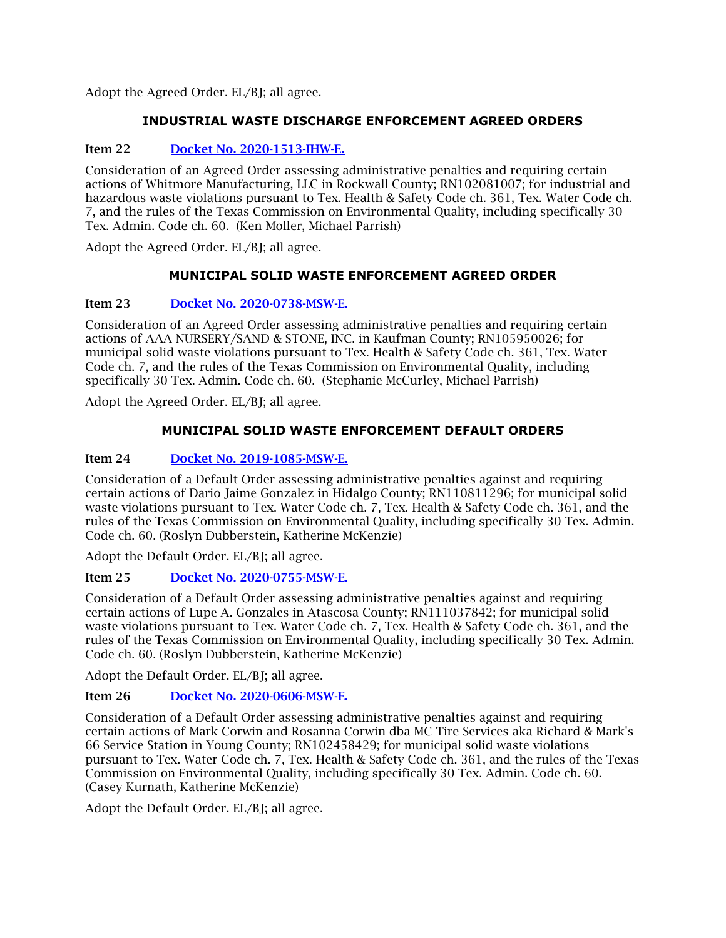Adopt the Agreed Order. EL/BJ; all agree.

## **INDUSTRIAL WASTE DISCHARGE ENFORCEMENT AGREED ORDERS**

## Item 22 [Docket No. 2020-1513-IHW-E.](http://www.tceq.texas.gov/assets/public/comm_exec/agendas/comm/backup/Agendas/2021/11-17-2021/1513IHW.pdf)

Consideration of an Agreed Order assessing administrative penalties and requiring certain actions of Whitmore Manufacturing, LLC in Rockwall County; RN102081007; for industrial and hazardous waste violations pursuant to Tex. Health & Safety Code ch. 361, Tex. Water Code ch. 7, and the rules of the Texas Commission on Environmental Quality, including specifically 30 Tex. Admin. Code ch. 60. (Ken Moller, Michael Parrish)

Adopt the Agreed Order. EL/BJ; all agree.

## **MUNICIPAL SOLID WASTE ENFORCEMENT AGREED ORDER**

## Item 23 [Docket No. 2020-0738-MSW-E.](http://www.tceq.texas.gov/assets/public/comm_exec/agendas/comm/backup/Agendas/2021/11-17-2021/0738MSW.pdf)

Consideration of an Agreed Order assessing administrative penalties and requiring certain actions of AAA NURSERY/SAND & STONE, INC. in Kaufman County; RN105950026; for municipal solid waste violations pursuant to Tex. Health & Safety Code ch. 361, Tex. Water Code ch. 7, and the rules of the Texas Commission on Environmental Quality, including specifically 30 Tex. Admin. Code ch. 60. (Stephanie McCurley, Michael Parrish)

Adopt the Agreed Order. EL/BJ; all agree.

## **MUNICIPAL SOLID WASTE ENFORCEMENT DEFAULT ORDERS**

## Item 24 [Docket No. 2019-1085-MSW-E.](http://www.tceq.texas.gov/assets/public/comm_exec/agendas/comm/backup/Agendas/2021/11-17-2021/1085MSW.pdf)

Consideration of a Default Order assessing administrative penalties against and requiring certain actions of Dario Jaime Gonzalez in Hidalgo County; RN110811296; for municipal solid waste violations pursuant to Tex. Water Code ch. 7, Tex. Health & Safety Code ch. 361, and the rules of the Texas Commission on Environmental Quality, including specifically 30 Tex. Admin. Code ch. 60. (Roslyn Dubberstein, Katherine McKenzie)

Adopt the Default Order. EL/BJ; all agree.

## Item 25 [Docket No. 2020-0755-MSW-E.](http://www.tceq.texas.gov/assets/public/comm_exec/agendas/comm/backup/Agendas/2021/11-17-2021/0755MSW.pdf)

Consideration of a Default Order assessing administrative penalties against and requiring certain actions of Lupe A. Gonzales in Atascosa County; RN111037842; for municipal solid waste violations pursuant to Tex. Water Code ch. 7, Tex. Health & Safety Code ch. 361, and the rules of the Texas Commission on Environmental Quality, including specifically 30 Tex. Admin. Code ch. 60. (Roslyn Dubberstein, Katherine McKenzie)

Adopt the Default Order. EL/BJ; all agree.

## Item 26 [Docket No. 2020-0606-MSW-E.](http://www.tceq.texas.gov/assets/public/comm_exec/agendas/comm/backup/Agendas/2021/11-17-2021/0606MSW.pdf)

Consideration of a Default Order assessing administrative penalties against and requiring certain actions of Mark Corwin and Rosanna Corwin dba MC Tire Services aka Richard & Mark's 66 Service Station in Young County; RN102458429; for municipal solid waste violations pursuant to Tex. Water Code ch. 7, Tex. Health & Safety Code ch. 361, and the rules of the Texas Commission on Environmental Quality, including specifically 30 Tex. Admin. Code ch. 60. (Casey Kurnath, Katherine McKenzie)

Adopt the Default Order. EL/BJ; all agree.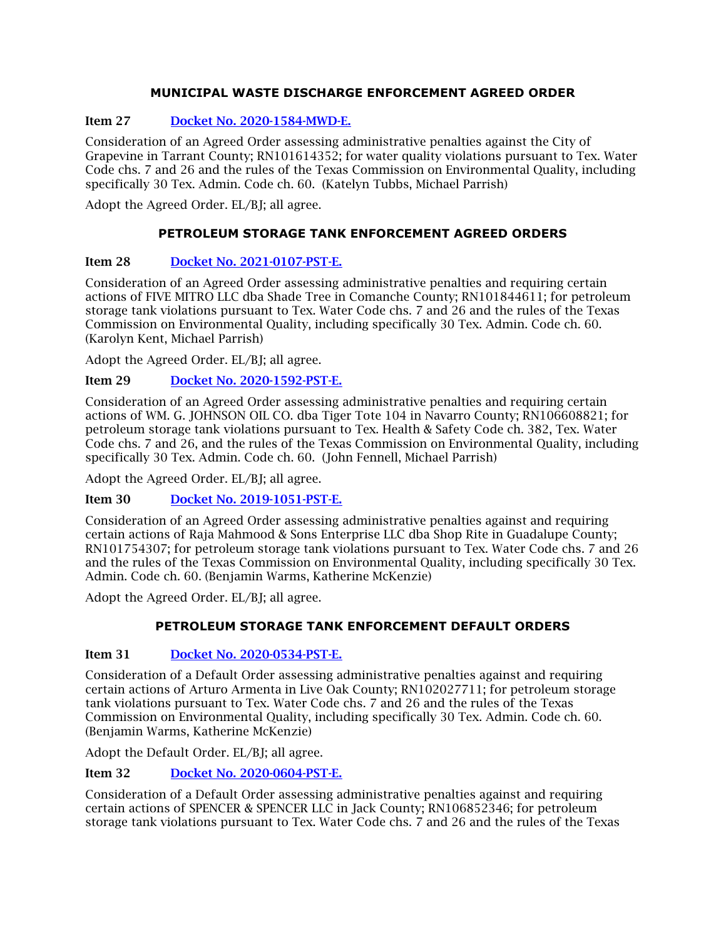## **MUNICIPAL WASTE DISCHARGE ENFORCEMENT AGREED ORDER**

## Item 27 [Docket No. 2020-1584-MWD-E.](http://www.tceq.texas.gov/assets/public/comm_exec/agendas/comm/backup/Agendas/2021/11-17-2021/1584MWD.pdf)

Consideration of an Agreed Order assessing administrative penalties against the City of Grapevine in Tarrant County; RN101614352; for water quality violations pursuant to Tex. Water Code chs. 7 and 26 and the rules of the Texas Commission on Environmental Quality, including specifically 30 Tex. Admin. Code ch. 60. (Katelyn Tubbs, Michael Parrish)

Adopt the Agreed Order. EL/BJ; all agree.

## **PETROLEUM STORAGE TANK ENFORCEMENT AGREED ORDERS**

## Item 28 [Docket No. 2021-0107-PST-E.](http://www.tceq.texas.gov/assets/public/comm_exec/agendas/comm/backup/Agendas/2021/11-17-2021/0107PST.pdf)

Consideration of an Agreed Order assessing administrative penalties and requiring certain actions of FIVE MITRO LLC dba Shade Tree in Comanche County; RN101844611; for petroleum storage tank violations pursuant to Tex. Water Code chs. 7 and 26 and the rules of the Texas Commission on Environmental Quality, including specifically 30 Tex. Admin. Code ch. 60. (Karolyn Kent, Michael Parrish)

Adopt the Agreed Order. EL/BJ; all agree.

## Item 29 [Docket No. 2020-1592-PST-E.](http://www.tceq.texas.gov/assets/public/comm_exec/agendas/comm/backup/Agendas/2021/11-17-2021/1592PST.pdf)

Consideration of an Agreed Order assessing administrative penalties and requiring certain actions of WM. G. JOHNSON OIL CO. dba Tiger Tote 104 in Navarro County; RN106608821; for petroleum storage tank violations pursuant to Tex. Health & Safety Code ch. 382, Tex. Water Code chs. 7 and 26, and the rules of the Texas Commission on Environmental Quality, including specifically 30 Tex. Admin. Code ch. 60. (John Fennell, Michael Parrish)

Adopt the Agreed Order. EL/BJ; all agree.

Item 30 [Docket No. 2019-1051-PST-E.](http://www.tceq.texas.gov/assets/public/comm_exec/agendas/comm/backup/Agendas/2021/11-17-2021/1051PST.pdf)

Consideration of an Agreed Order assessing administrative penalties against and requiring certain actions of Raja Mahmood & Sons Enterprise LLC dba Shop Rite in Guadalupe County; RN101754307; for petroleum storage tank violations pursuant to Tex. Water Code chs. 7 and 26 and the rules of the Texas Commission on Environmental Quality, including specifically 30 Tex. Admin. Code ch. 60. (Benjamin Warms, Katherine McKenzie)

Adopt the Agreed Order. EL/BJ; all agree.

## **PETROLEUM STORAGE TANK ENFORCEMENT DEFAULT ORDERS**

## Item 31 [Docket No. 2020-0534-PST-E.](http://www.tceq.texas.gov/assets/public/comm_exec/agendas/comm/backup/Agendas/2021/11-17-2021/0534PST.pdf)

Consideration of a Default Order assessing administrative penalties against and requiring certain actions of Arturo Armenta in Live Oak County; RN102027711; for petroleum storage tank violations pursuant to Tex. Water Code chs. 7 and 26 and the rules of the Texas Commission on Environmental Quality, including specifically 30 Tex. Admin. Code ch. 60. (Benjamin Warms, Katherine McKenzie)

Adopt the Default Order. EL/BJ; all agree.

## Item 32 [Docket No. 2020-0604-PST-E.](http://www.tceq.texas.gov/assets/public/comm_exec/agendas/comm/backup/Agendas/2021/11-17-2021/0604PST.pdf)

Consideration of a Default Order assessing administrative penalties against and requiring certain actions of SPENCER & SPENCER LLC in Jack County; RN106852346; for petroleum storage tank violations pursuant to Tex. Water Code chs. 7 and 26 and the rules of the Texas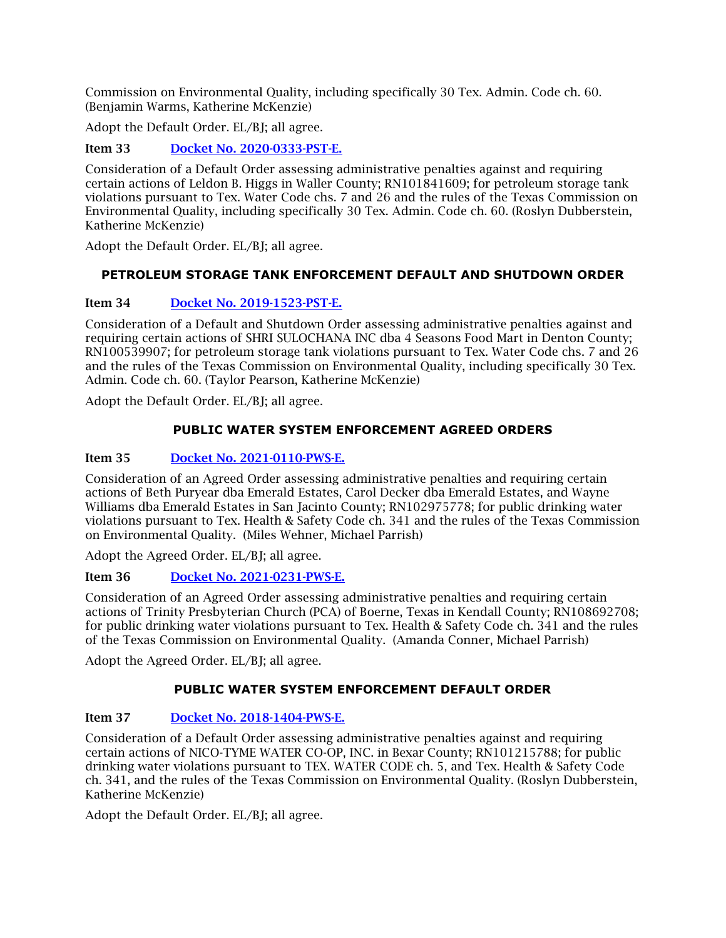Commission on Environmental Quality, including specifically 30 Tex. Admin. Code ch. 60. (Benjamin Warms, Katherine McKenzie)

Adopt the Default Order. EL/BJ; all agree.

Item 33 [Docket No. 2020-0333-PST-E.](http://www.tceq.texas.gov/assets/public/comm_exec/agendas/comm/backup/Agendas/2021/11-17-2021/0333PST.pdf)

Consideration of a Default Order assessing administrative penalties against and requiring certain actions of Leldon B. Higgs in Waller County; RN101841609; for petroleum storage tank violations pursuant to Tex. Water Code chs. 7 and 26 and the rules of the Texas Commission on Environmental Quality, including specifically 30 Tex. Admin. Code ch. 60. (Roslyn Dubberstein, Katherine McKenzie)

Adopt the Default Order. EL/BJ; all agree.

## **PETROLEUM STORAGE TANK ENFORCEMENT DEFAULT AND SHUTDOWN ORDER**

## Item 34 [Docket No. 2019-1523-PST-E.](http://www.tceq.texas.gov/assets/public/comm_exec/agendas/comm/backup/Agendas/2021/11-17-2021/1523PST.pdf)

Consideration of a Default and Shutdown Order assessing administrative penalties against and requiring certain actions of SHRI SULOCHANA INC dba 4 Seasons Food Mart in Denton County; RN100539907; for petroleum storage tank violations pursuant to Tex. Water Code chs. 7 and 26 and the rules of the Texas Commission on Environmental Quality, including specifically 30 Tex. Admin. Code ch. 60. (Taylor Pearson, Katherine McKenzie)

Adopt the Default Order. EL/BJ; all agree.

## **PUBLIC WATER SYSTEM ENFORCEMENT AGREED ORDERS**

## Item 35 [Docket No. 2021-0110-PWS-E.](http://www.tceq.texas.gov/assets/public/comm_exec/agendas/comm/backup/Agendas/2021/11-17-2021/0110PWS.pdf)

Consideration of an Agreed Order assessing administrative penalties and requiring certain actions of Beth Puryear dba Emerald Estates, Carol Decker dba Emerald Estates, and Wayne Williams dba Emerald Estates in San Jacinto County; RN102975778; for public drinking water violations pursuant to Tex. Health & Safety Code ch. 341 and the rules of the Texas Commission on Environmental Quality. (Miles Wehner, Michael Parrish)

Adopt the Agreed Order. EL/BJ; all agree.

## Item 36 [Docket No. 2021-0231-PWS-E.](http://www.tceq.texas.gov/assets/public/comm_exec/agendas/comm/backup/Agendas/2021/11-17-2021/0231PWS.pdf)

Consideration of an Agreed Order assessing administrative penalties and requiring certain actions of Trinity Presbyterian Church (PCA) of Boerne, Texas in Kendall County; RN108692708; for public drinking water violations pursuant to Tex. Health & Safety Code ch. 341 and the rules of the Texas Commission on Environmental Quality. (Amanda Conner, Michael Parrish)

Adopt the Agreed Order. EL/BJ; all agree.

## **PUBLIC WATER SYSTEM ENFORCEMENT DEFAULT ORDER**

## Item 37 [Docket No. 2018-1404-PWS-E.](http://www.tceq.texas.gov/assets/public/comm_exec/agendas/comm/backup/Agendas/2021/11-17-2021/1404PWS.pdf)

Consideration of a Default Order assessing administrative penalties against and requiring certain actions of NICO-TYME WATER CO-OP, INC. in Bexar County; RN101215788; for public drinking water violations pursuant to TEX. WATER CODE ch. 5, and Tex. Health & Safety Code ch. 341, and the rules of the Texas Commission on Environmental Quality. (Roslyn Dubberstein, Katherine McKenzie)

Adopt the Default Order. EL/BI: all agree.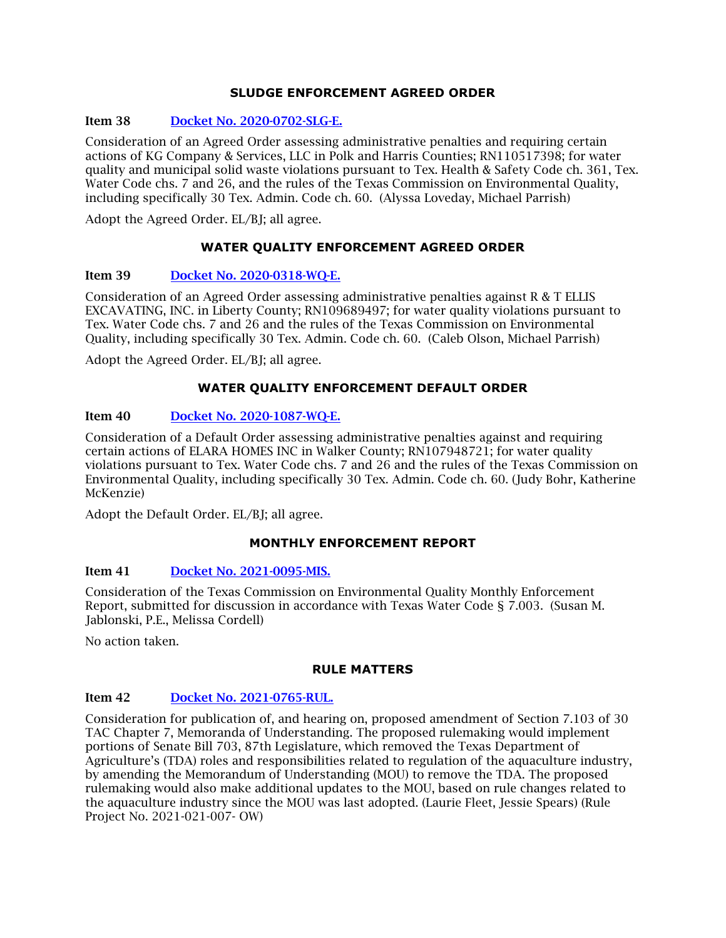#### **SLUDGE ENFORCEMENT AGREED ORDER**

#### Item 38 [Docket No. 2020-0702-SLG-E.](http://www.tceq.texas.gov/assets/public/comm_exec/agendas/comm/backup/Agendas/2021/11-17-2021/0702SLG.pdf)

Consideration of an Agreed Order assessing administrative penalties and requiring certain actions of KG Company & Services, LLC in Polk and Harris Counties; RN110517398; for water quality and municipal solid waste violations pursuant to Tex. Health & Safety Code ch. 361, Tex. Water Code chs. 7 and 26, and the rules of the Texas Commission on Environmental Quality, including specifically 30 Tex. Admin. Code ch. 60. (Alyssa Loveday, Michael Parrish)

Adopt the Agreed Order. EL/BJ; all agree.

## **WATER QUALITY ENFORCEMENT AGREED ORDER**

#### Item 39 [Docket No. 2020-0318-WQ-E.](http://www.tceq.texas.gov/assets/public/comm_exec/agendas/comm/backup/Agendas/2021/11-17-2021/0318WQ.pdf)

Consideration of an Agreed Order assessing administrative penalties against R & T ELLIS EXCAVATING, INC. in Liberty County; RN109689497; for water quality violations pursuant to Tex. Water Code chs. 7 and 26 and the rules of the Texas Commission on Environmental Quality, including specifically 30 Tex. Admin. Code ch. 60. (Caleb Olson, Michael Parrish)

Adopt the Agreed Order. EL/BI: all agree.

#### **WATER QUALITY ENFORCEMENT DEFAULT ORDER**

#### Item 40 [Docket No. 2020-1087-WQ-E.](http://www.tceq.texas.gov/assets/public/comm_exec/agendas/comm/backup/Agendas/2021/11-17-2021/1087WQ.pdf)

Consideration of a Default Order assessing administrative penalties against and requiring certain actions of ELARA HOMES INC in Walker County; RN107948721; for water quality violations pursuant to Tex. Water Code chs. 7 and 26 and the rules of the Texas Commission on Environmental Quality, including specifically 30 Tex. Admin. Code ch. 60. (Judy Bohr, Katherine McKenzie)

Adopt the Default Order. EL/BJ; all agree.

#### **MONTHLY ENFORCEMENT REPORT**

#### Item 41 [Docket No. 2021-0095-MIS.](http://www.tceq.texas.gov/assets/public/comm_exec/agendas/comm/backup/Agendas/2021/11-17-2021/0095MIS.pdf)

Consideration of the Texas Commission on Environmental Quality Monthly Enforcement Report, submitted for discussion in accordance with Texas Water Code § 7.003. (Susan M. Jablonski, P.E., Melissa Cordell)

No action taken.

#### **RULE MATTERS**

#### Item 42 [Docket No. 2021-0765-RUL.](http://www.tceq.texas.gov/assets/public/comm_exec/agendas/comm/backup/Agendas/2021/11-17-2021/0765RUL.pdf)

Consideration for publication of, and hearing on, proposed amendment of Section 7.103 of 30 TAC Chapter 7, Memoranda of Understanding. The proposed rulemaking would implement portions of Senate Bill 703, 87th Legislature, which removed the Texas Department of Agriculture's (TDA) roles and responsibilities related to regulation of the aquaculture industry, by amending the Memorandum of Understanding (MOU) to remove the TDA. The proposed rulemaking would also make additional updates to the MOU, based on rule changes related to the aquaculture industry since the MOU was last adopted. (Laurie Fleet, Jessie Spears) (Rule Project No. 2021-021-007- OW)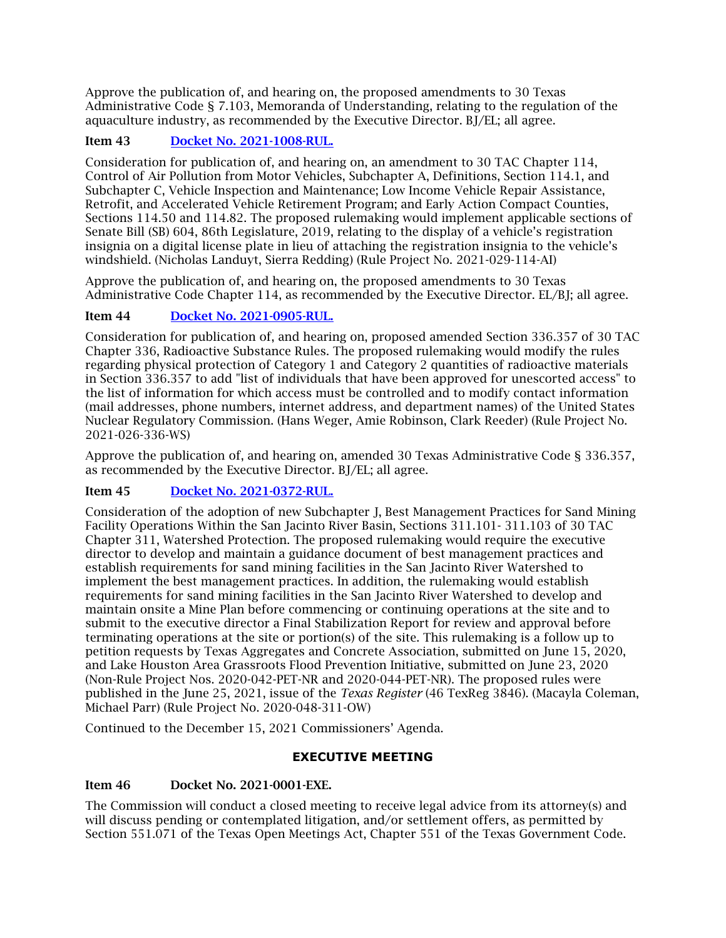Approve the publication of, and hearing on, the proposed amendments to 30 Texas Administrative Code § 7.103, Memoranda of Understanding, relating to the regulation of the aquaculture industry, as recommended by the Executive Director. BJ/EL; all agree.

## Item 43 [Docket No. 2021-1008-RUL.](http://www.tceq.texas.gov/assets/public/comm_exec/agendas/comm/backup/Agendas/2021/11-17-2021/1008RUL.pdf)

Consideration for publication of, and hearing on, an amendment to 30 TAC Chapter 114, Control of Air Pollution from Motor Vehicles, Subchapter A, Definitions, Section 114.1, and Subchapter C, Vehicle Inspection and Maintenance; Low Income Vehicle Repair Assistance, Retrofit, and Accelerated Vehicle Retirement Program; and Early Action Compact Counties, Sections 114.50 and 114.82. The proposed rulemaking would implement applicable sections of Senate Bill (SB) 604, 86th Legislature, 2019, relating to the display of a vehicle's registration insignia on a digital license plate in lieu of attaching the registration insignia to the vehicle's windshield. (Nicholas Landuyt, Sierra Redding) (Rule Project No. 2021-029-114-AI)

Approve the publication of, and hearing on, the proposed amendments to 30 Texas Administrative Code Chapter 114, as recommended by the Executive Director. EL/BJ; all agree.

## Item 44 [Docket No. 2021-0905-RUL.](http://www.tceq.texas.gov/assets/public/comm_exec/agendas/comm/backup/Agendas/2021/11-17-2021/0905RUL.pdf)

Consideration for publication of, and hearing on, proposed amended Section 336.357 of 30 TAC Chapter 336, Radioactive Substance Rules. The proposed rulemaking would modify the rules regarding physical protection of Category 1 and Category 2 quantities of radioactive materials in Section 336.357 to add "list of individuals that have been approved for unescorted access" to the list of information for which access must be controlled and to modify contact information (mail addresses, phone numbers, internet address, and department names) of the United States Nuclear Regulatory Commission. (Hans Weger, Amie Robinson, Clark Reeder) (Rule Project No. 2021-026-336-WS)

Approve the publication of, and hearing on, amended 30 Texas Administrative Code § 336.357, as recommended by the Executive Director. BJ/EL; all agree.

## Item 45 [Docket No. 2021-0372-RUL.](http://www.tceq.texas.gov/assets/public/comm_exec/agendas/comm/backup/Agendas/2021/11-17-2021/0372RUL.pdf)

Consideration of the adoption of new Subchapter J, Best Management Practices for Sand Mining Facility Operations Within the San Jacinto River Basin, Sections 311.101- 311.103 of 30 TAC Chapter 311, Watershed Protection. The proposed rulemaking would require the executive director to develop and maintain a guidance document of best management practices and establish requirements for sand mining facilities in the San Jacinto River Watershed to implement the best management practices. In addition, the rulemaking would establish requirements for sand mining facilities in the San Jacinto River Watershed to develop and maintain onsite a Mine Plan before commencing or continuing operations at the site and to submit to the executive director a Final Stabilization Report for review and approval before terminating operations at the site or portion(s) of the site. This rulemaking is a follow up to petition requests by Texas Aggregates and Concrete Association, submitted on June 15, 2020, and Lake Houston Area Grassroots Flood Prevention Initiative, submitted on June 23, 2020 (Non-Rule Project Nos. 2020-042-PET-NR and 2020-044-PET-NR). The proposed rules were published in the June 25, 2021, issue of the *Texas Register* (46 TexReg 3846). (Macayla Coleman, Michael Parr) (Rule Project No. 2020-048-311-OW)

Continued to the December 15, 2021 Commissioners' Agenda.

## **EXECUTIVE MEETING**

## <span id="page-9-0"></span>Item 46 Docket No. 2021-0001-EXE.

The Commission will conduct a closed meeting to receive legal advice from its attorney(s) and will discuss pending or contemplated litigation, and/or settlement offers, as permitted by Section 551.071 of the Texas Open Meetings Act, Chapter 551 of the Texas Government Code.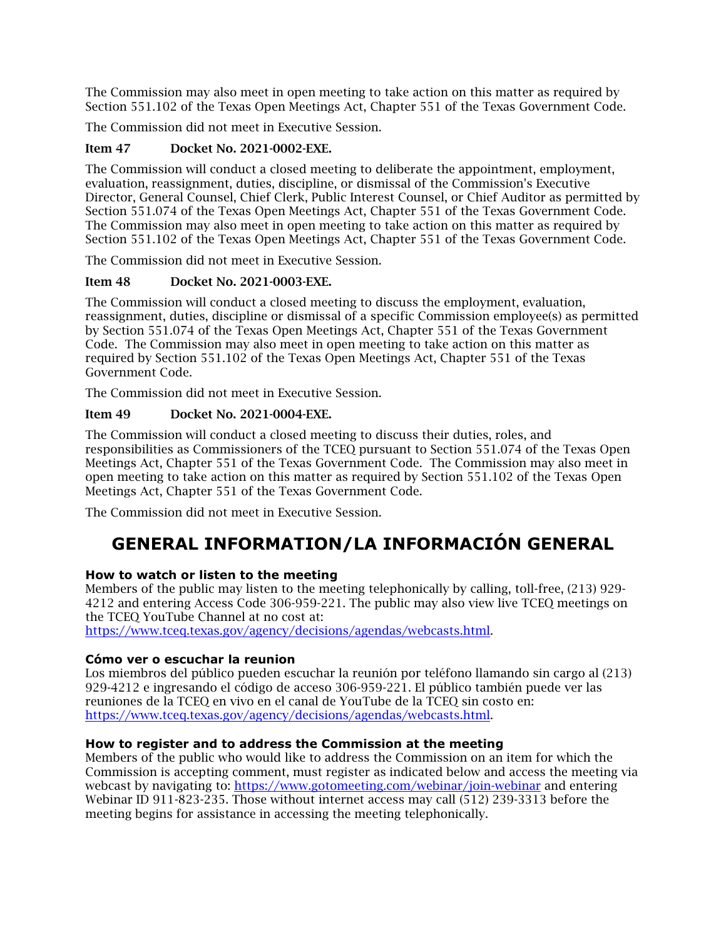The Commission may also meet in open meeting to take action on this matter as required by Section 551.102 of the Texas Open Meetings Act, Chapter 551 of the Texas Government Code.

The Commission did not meet in Executive Session.

## Item 47 Docket No. 2021-0002-EXE.

The Commission will conduct a closed meeting to deliberate the appointment, employment, evaluation, reassignment, duties, discipline, or dismissal of the Commission's Executive Director, General Counsel, Chief Clerk, Public Interest Counsel, or Chief Auditor as permitted by Section 551.074 of the Texas Open Meetings Act, Chapter 551 of the Texas Government Code. The Commission may also meet in open meeting to take action on this matter as required by Section 551.102 of the Texas Open Meetings Act, Chapter 551 of the Texas Government Code.

The Commission did not meet in Executive Session.

## Item 48 Docket No. 2021-0003-EXE.

The Commission will conduct a closed meeting to discuss the employment, evaluation, reassignment, duties, discipline or dismissal of a specific Commission employee(s) as permitted by Section 551.074 of the Texas Open Meetings Act, Chapter 551 of the Texas Government Code. The Commission may also meet in open meeting to take action on this matter as required by Section 551.102 of the Texas Open Meetings Act, Chapter 551 of the Texas Government Code.

The Commission did not meet in Executive Session.

## Item 49 Docket No. 2021-0004-EXE.

The Commission will conduct a closed meeting to discuss their duties, roles, and responsibilities as Commissioners of the TCEQ pursuant to Section 551.074 of the Texas Open Meetings Act, Chapter 551 of the Texas Government Code. The Commission may also meet in open meeting to take action on this matter as required by Section 551.102 of the Texas Open Meetings Act, Chapter 551 of the Texas Government Code.

The Commission did not meet in Executive Session.

# **GENERAL INFORMATION/LA INFORMACIÓN GENERAL**

## **How to watch or listen to the meeting**

Members of the public may listen to the meeting telephonically by calling, toll-free, (213) 929- 4212 and entering Access Code 306-959-221. The public may also view live TCEQ meetings on the TCEQ YouTube Channel at no cost at:

[https://www.tceq.texas.gov/agency/decisions/agendas/webcasts.html.](https://www.tceq.texas.gov/agency/decisions/agendas/webcasts.html)

## **Cómo ver o escuchar la reunion**

Los miembros del público pueden escuchar la reunión por teléfono llamando sin cargo al (213) 929-4212 e ingresando el código de acceso 306-959-221. El público también puede ver las reuniones de la TCEQ en vivo en el canal de YouTube de la TCEQ sin costo en: [https://www.tceq.texas.gov/agency/decisions/agendas/webcasts.html.](https://www.tceq.texas.gov/agency/decisions/agendas/webcasts.html)

## **How to register and to address the Commission at the meeting**

Members of the public who would like to address the Commission on an item for which the Commission is accepting comment, must register as indicated below and access the meeting via webcast by navigating to:<https://www.gotomeeting.com/webinar/join-webinar> and entering Webinar ID 911-823-235. Those without internet access may call (512) 239-3313 before the meeting begins for assistance in accessing the meeting telephonically.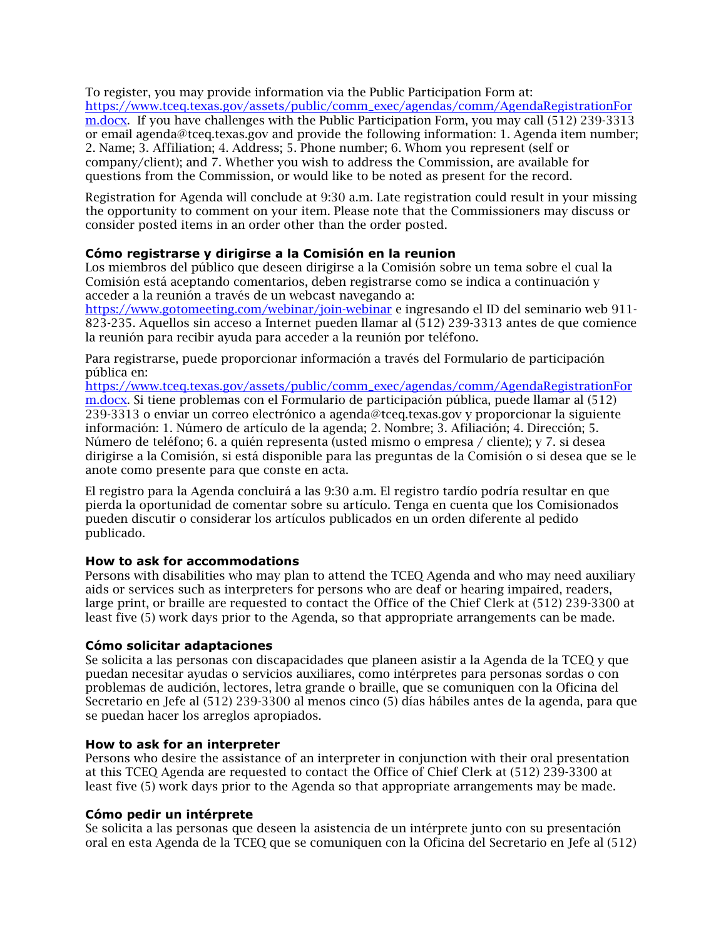To register, you may provide information via the Public Participation Form at: [https://www.tceq.texas.gov/assets/public/comm\\_exec/agendas/comm/AgendaRegistrationFor](https://www.tceq.texas.gov/assets/public/comm_exec/agendas/comm/AgendaRegistrationForm.docx) [m.docx.](https://www.tceq.texas.gov/assets/public/comm_exec/agendas/comm/AgendaRegistrationForm.docx) If you have challenges with the Public Participation Form, you may call (512) 239-3313 or email agenda@tceq.texas.gov and provide the following information: 1. Agenda item number; 2. Name; 3. Affiliation; 4. Address; 5. Phone number; 6. Whom you represent (self or company/client); and 7. Whether you wish to address the Commission, are available for questions from the Commission, or would like to be noted as present for the record.

Registration for Agenda will conclude at 9:30 a.m. Late registration could result in your missing the opportunity to comment on your item. Please note that the Commissioners may discuss or consider posted items in an order other than the order posted.

#### **Cómo registrarse y dirigirse a la Comisión en la reunion**

Los miembros del público que deseen dirigirse a la Comisión sobre un tema sobre el cual la Comisión está aceptando comentarios, deben registrarse como se indica a continuación y acceder a la reunión a través de un webcast navegando a:

<https://www.gotomeeting.com/webinar/join-webinar> e ingresando el ID del seminario web 911- 823-235. Aquellos sin acceso a Internet pueden llamar al (512) 239-3313 antes de que comience la reunión para recibir ayuda para acceder a la reunión por teléfono.

Para registrarse, puede proporcionar información a través del Formulario de participación pública en:

[https://www.tceq.texas.gov/assets/public/comm\\_exec/agendas/comm/AgendaRegistrationFor](https://www.tceq.texas.gov/assets/public/comm_exec/agendas/comm/AgendaRegistrationForm.docx) [m.docx.](https://www.tceq.texas.gov/assets/public/comm_exec/agendas/comm/AgendaRegistrationForm.docx) Si tiene problemas con el Formulario de participación pública, puede llamar al (512) 239-3313 o enviar un correo electrónico a agenda@tceq.texas.gov y proporcionar la siguiente información: 1. Número de artículo de la agenda; 2. Nombre; 3. Afiliación; 4. Dirección; 5. Número de teléfono; 6. a quién representa (usted mismo o empresa / cliente); y 7. si desea dirigirse a la Comisión, si está disponible para las preguntas de la Comisión o si desea que se le anote como presente para que conste en acta.

El registro para la Agenda concluirá a las 9:30 a.m. El registro tardío podría resultar en que pierda la oportunidad de comentar sobre su artículo. Tenga en cuenta que los Comisionados pueden discutir o considerar los artículos publicados en un orden diferente al pedido publicado.

#### **How to ask for accommodations**

Persons with disabilities who may plan to attend the TCEQ Agenda and who may need auxiliary aids or services such as interpreters for persons who are deaf or hearing impaired, readers, large print, or braille are requested to contact the Office of the Chief Clerk at (512) 239-3300 at least five (5) work days prior to the Agenda, so that appropriate arrangements can be made.

#### **Cómo solicitar adaptaciones**

Se solicita a las personas con discapacidades que planeen asistir a la Agenda de la TCEQ y que puedan necesitar ayudas o servicios auxiliares, como intérpretes para personas sordas o con problemas de audición, lectores, letra grande o braille, que se comuniquen con la Oficina del Secretario en Jefe al (512) 239-3300 al menos cinco (5) días hábiles antes de la agenda, para que se puedan hacer los arreglos apropiados.

#### **How to ask for an interpreter**

Persons who desire the assistance of an interpreter in conjunction with their oral presentation at this TCEQ Agenda are requested to contact the Office of Chief Clerk at (512) 239-3300 at least five (5) work days prior to the Agenda so that appropriate arrangements may be made.

#### **Cómo pedir un intérprete**

Se solicita a las personas que deseen la asistencia de un intérprete junto con su presentación oral en esta Agenda de la TCEQ que se comuniquen con la Oficina del Secretario en Jefe al (512)